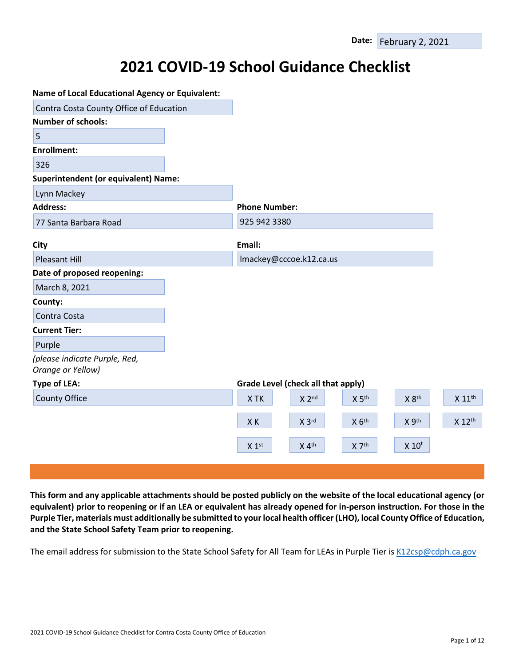# **2021 COVID-19 School Guidance Checklist**

| <b>Name of Local Educational Agency or Equivalent:</b> |                      |                                    |                   |                     |                    |
|--------------------------------------------------------|----------------------|------------------------------------|-------------------|---------------------|--------------------|
| Contra Costa County Office of Education                |                      |                                    |                   |                     |                    |
| <b>Number of schools:</b>                              |                      |                                    |                   |                     |                    |
| 5                                                      |                      |                                    |                   |                     |                    |
| <b>Enrollment:</b>                                     |                      |                                    |                   |                     |                    |
| 326                                                    |                      |                                    |                   |                     |                    |
| <b>Superintendent (or equivalent) Name:</b>            |                      |                                    |                   |                     |                    |
| Lynn Mackey                                            |                      |                                    |                   |                     |                    |
| <b>Address:</b>                                        | <b>Phone Number:</b> |                                    |                   |                     |                    |
| 77 Santa Barbara Road                                  | 925 942 3380         |                                    |                   |                     |                    |
| City                                                   | Email:               |                                    |                   |                     |                    |
| <b>Pleasant Hill</b>                                   |                      | Imackey@cccoe.k12.ca.us            |                   |                     |                    |
| Date of proposed reopening:                            |                      |                                    |                   |                     |                    |
| March 8, 2021                                          |                      |                                    |                   |                     |                    |
| County:                                                |                      |                                    |                   |                     |                    |
| Contra Costa                                           |                      |                                    |                   |                     |                    |
| <b>Current Tier:</b>                                   |                      |                                    |                   |                     |                    |
| Purple                                                 |                      |                                    |                   |                     |                    |
| (please indicate Purple, Red,<br>Orange or Yellow)     |                      |                                    |                   |                     |                    |
| <b>Type of LEA:</b>                                    |                      | Grade Level (check all that apply) |                   |                     |                    |
| <b>County Office</b>                                   | X TK                 | $X$ 2nd                            | X 5 <sup>th</sup> | X 8th               | X 11 <sup>th</sup> |
|                                                        | XK                   | X 3rd                              | $X$ $6th$         | X 9th               | X 12th             |
|                                                        | X 1 <sup>st</sup>    | $X$ 4 <sup>th</sup>                | X 7th             | $X$ 10 <sup>t</sup> |                    |
|                                                        |                      |                                    |                   |                     |                    |

This form and any applicable attachments should be posted publicly on the website of the local educational agency (or **equivalent) prior to reopening or if an LEA or equivalent has already opened for in-person instruction. For those in the**  Purple Tier, materials must additionally be submitted to your local health officer (LHO), local County Office of Education, **and the State School Safety Team prior to reopening.**

The email address for submission to the State School Safety for All Team for LEAs in Purple Tier is [K12csp@cdph.ca.gov](mailto:K12csp@cdph.ca.gov)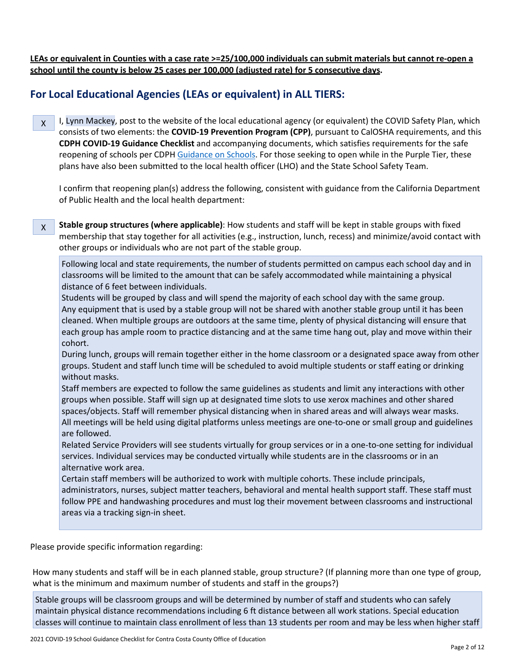**LEAs or equivalent in Counties with a case rate >=25/100,000 individuals can submit materials but cannot re-open a school until the county is below 25 cases per 100,000 (adjusted rate) for 5 consecutive days.**

# **For Local Educational Agencies (LEAs or equivalent) in ALL TIERS:**

I, Lynn Mackey, post to the website of the local educational agency (or equivalent) the COVID Safety Plan, which consists of two elements: the **COVID-19 Prevention Program (CPP)**, pursuant to CalOSHA requirements, and this **CDPH COVID-19 Guidance Checklist** and accompanying documents, which satisfies requirements for the safe reopening of schools per CDPH [Guidance on Schools.](https://www.cdph.ca.gov/Programs/CID/DCDC/CDPH%20Document%20Library/COVID-19/Consolidated_Schools_Guidance.pdf) For those seeking to open while in the Purple Tier, these plans have also been submitted to the local health officer (LHO) and the State School Safety Team. X

I confirm that reopening plan(s) address the following, consistent with guidance from the California Department of Public Health and the local health department:

**Stable group structures (where applicable)**: How students and staff will be kept in stable groups with fixed membership that stay together for all activities (e.g., instruction, lunch, recess) and minimize/avoid contact with other groups or individuals who are not part of the stable group. X

Following local and state requirements, the number of students permitted on campus each school day and in classrooms will be limited to the amount that can be safely accommodated while maintaining a physical distance of 6 feet between individuals.

Students will be grouped by class and will spend the majority of each school day with the same group. Any equipment that is used by a stable group will not be shared with another stable group until it has been cleaned. When multiple groups are outdoors at the same time, plenty of physical distancing will ensure that each group has ample room to practice distancing and at the same time hang out, play and move within their cohort.

During lunch, groups will remain together either in the home classroom or a designated space away from other groups. Student and staff lunch time will be scheduled to avoid multiple students or staff eating or drinking without masks.

Staff members are expected to follow the same guidelines as students and limit any interactions with other groups when possible. Staff will sign up at designated time slots to use xerox machines and other shared spaces/objects. Staff will remember physical distancing when in shared areas and will always wear masks. All meetings will be held using digital platforms unless meetings are one-to-one or small group and guidelines are followed.

Related Service Providers will see students virtually for group services or in a one-to-one setting for individual services. Individual services may be conducted virtually while students are in the classrooms or in an alternative work area.

Certain staff members will be authorized to work with multiple cohorts. These include principals, administrators, nurses, subject matter teachers, behavioral and mental health support staff. These staff must follow PPE and handwashing procedures and must log their movement between classrooms and instructional areas via a tracking sign-in sheet.

Please provide specific information regarding:

How many students and staff will be in each planned stable, group structure? (If planning more than one type of group, what is the minimum and maximum number of students and staff in the groups?)

Stable groups will be classroom groups and will be determined by number of staff and students who can safely maintain physical distance recommendations including 6 ft distance between all work stations. Special education classes will continue to maintain class enrollment of less than 13 students per room and may be less when higher staff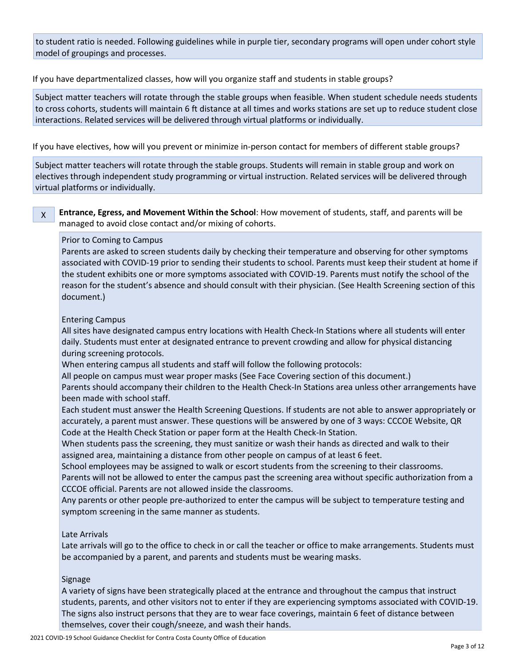to student ratio is needed. Following guidelines while in purple tier, secondary programs will open under cohort style model of groupings and processes.

If you have departmentalized classes, how will you organize staff and students in stable groups?

Subject matter teachers will rotate through the stable groups when feasible. When student schedule needs students to cross cohorts, students will maintain 6 ft distance at all times and works stations are set up to reduce student close interactions. Related services will be delivered through virtual platforms or individually.

If you have electives, how will you prevent or minimize in-person contact for members of different stable groups?

Subject matter teachers will rotate through the stable groups. Students will remain in stable group and work on electives through independent study programming or virtual instruction. Related services will be delivered through virtual platforms or individually.

#### **Entrance, Egress, and Movement Within the School**: How movement of students, staff, and parents will be managed to avoid close contact and/or mixing of cohorts. X

### Prior to Coming to Campus

Parents are asked to screen students daily by checking their temperature and observing for other symptoms associated with COVID-19 prior to sending their students to school. Parents must keep their student at home if the student exhibits one or more symptoms associated with COVID-19. Parents must notify the school of the reason for the student's absence and should consult with their physician. (See Health Screening section of this document.)

#### Entering Campus

All sites have designated campus entry locations with Health Check-In Stations where all students will enter daily. Students must enter at designated entrance to prevent crowding and allow for physical distancing during screening protocols.

When entering campus all students and staff will follow the following protocols:

All people on campus must wear proper masks (See Face Covering section of this document.)

Parents should accompany their children to the Health Check-In Stations area unless other arrangements have been made with school staff.

Each student must answer the Health Screening Questions. If students are not able to answer appropriately or accurately, a parent must answer. These questions will be answered by one of 3 ways: CCCOE Website, QR Code at the Health Check Station or paper form at the Health Check-In Station.

When students pass the screening, they must sanitize or wash their hands as directed and walk to their assigned area, maintaining a distance from other people on campus of at least 6 feet.

School employees may be assigned to walk or escort students from the screening to their classrooms.

Parents will not be allowed to enter the campus past the screening area without specific authorization from a CCCOE official. Parents are not allowed inside the classrooms.

Any parents or other people pre-authorized to enter the campus will be subject to temperature testing and symptom screening in the same manner as students.

#### Late Arrivals

Late arrivals will go to the office to check in or call the teacher or office to make arrangements. Students must be accompanied by a parent, and parents and students must be wearing masks.

#### Signage

A variety of signs have been strategically placed at the entrance and throughout the campus that instruct students, parents, and other visitors not to enter if they are experiencing symptoms associated with COVID-19. The signs also instruct persons that they are to wear face coverings, maintain 6 feet of distance between themselves, cover their cough/sneeze, and wash their hands.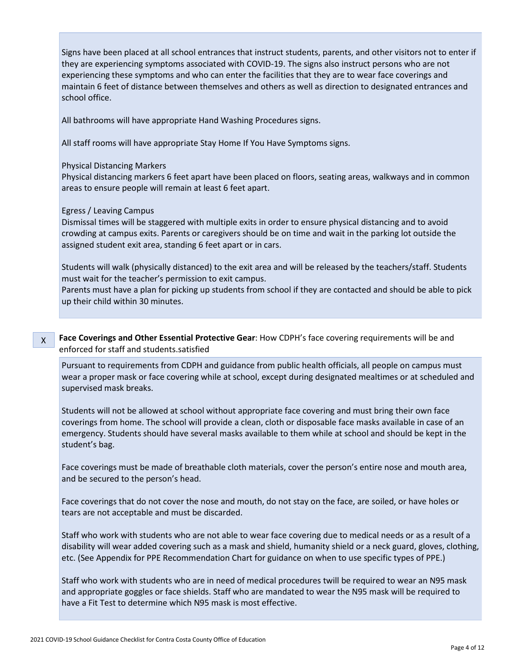Signs have been placed at all school entrances that instruct students, parents, and other visitors not to enter if they are experiencing symptoms associated with COVID-19. The signs also instruct persons who are not experiencing these symptoms and who can enter the facilities that they are to wear face coverings and maintain 6 feet of distance between themselves and others as well as direction to designated entrances and school office.

All bathrooms will have appropriate Hand Washing Procedures signs.

All staff rooms will have appropriate Stay Home If You Have Symptoms signs.

#### Physical Distancing Markers

Physical distancing markers 6 feet apart have been placed on floors, seating areas, walkways and in common areas to ensure people will remain at least 6 feet apart.

#### Egress / Leaving Campus

Dismissal times will be staggered with multiple exits in order to ensure physical distancing and to avoid crowding at campus exits. Parents or caregivers should be on time and wait in the parking lot outside the assigned student exit area, standing 6 feet apart or in cars.

Students will walk (physically distanced) to the exit area and will be released by the teachers/staff. Students must wait for the teacher's permission to exit campus.

Parents must have a plan for picking up students from school if they are contacted and should be able to pick up their child within 30 minutes.

**Face Coverings and Other Essential Protective Gear**: How CDPH's face covering requirements will be and enforced for staff and students.satisfied X

Pursuant to requirements from CDPH and guidance from public health officials, all people on campus must wear a proper mask or face covering while at school, except during designated mealtimes or at scheduled and supervised mask breaks.

Students will not be allowed at school without appropriate face covering and must bring their own face coverings from home. The school will provide a clean, cloth or disposable face masks available in case of an emergency. Students should have several masks available to them while at school and should be kept in the student's bag.

Face coverings must be made of breathable cloth materials, cover the person's entire nose and mouth area, and be secured to the person's head.

Face coverings that do not cover the nose and mouth, do not stay on the face, are soiled, or have holes or tears are not acceptable and must be discarded.

Staff who work with students who are not able to wear face covering due to medical needs or as a result of a disability will wear added covering such as a mask and shield, humanity shield or a neck guard, gloves, clothing, etc. (See Appendix for PPE Recommendation Chart for guidance on when to use specific types of PPE.)

Staff who work with students who are in need of medical procedures twill be required to wear an N95 mask and appropriate goggles or face shields. Staff who are mandated to wear the N95 mask will be required to have a Fit Test to determine which N95 mask is most effective.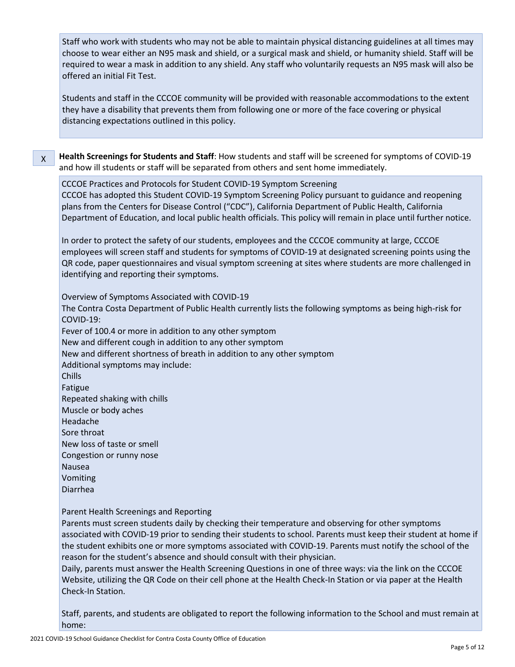Staff who work with students who may not be able to maintain physical distancing guidelines at all times may choose to wear either an N95 mask and shield, or a surgical mask and shield, or humanity shield. Staff will be required to wear a mask in addition to any shield. Any staff who voluntarily requests an N95 mask will also be offered an initial Fit Test.

Students and staff in the CCCOE community will be provided with reasonable accommodations to the extent they have a disability that prevents them from following one or more of the face covering or physical distancing expectations outlined in this policy.

**Health Screenings for Students and Staff**: How students and staff will be screened for symptoms of COVID-19 and how ill students or staff will be separated from others and sent home immediately. X

CCCOE Practices and Protocols for Student COVID-19 Symptom Screening CCCOE has adopted this Student COVID-19 Symptom Screening Policy pursuant to guidance and reopening plans from the Centers for Disease Control ("CDC"), California Department of Public Health, California Department of Education, and local public health officials. This policy will remain in place until further notice.

In order to protect the safety of our students, employees and the CCCOE community at large, CCCOE employees will screen staff and students for symptoms of COVID-19 at designated screening points using the QR code, paper questionnaires and visual symptom screening at sites where students are more challenged in identifying and reporting their symptoms.

Overview of Symptoms Associated with COVID-19 The Contra Costa Department of Public Health currently lists the following symptoms as being high-risk for COVID-19: Fever of 100.4 or more in addition to any other symptom New and different cough in addition to any other symptom New and different shortness of breath in addition to any other symptom Additional symptoms may include: Chills Fatigue Repeated shaking with chills Muscle or body aches Headache Sore throat New loss of taste or smell Congestion or runny nose Nausea Vomiting Diarrhea

Parent Health Screenings and Reporting

Parents must screen students daily by checking their temperature and observing for other symptoms associated with COVID-19 prior to sending their students to school. Parents must keep their student at home if the student exhibits one or more symptoms associated with COVID-19. Parents must notify the school of the reason for the student's absence and should consult with their physician.

Daily, parents must answer the Health Screening Questions in one of three ways: via the link on the CCCOE Website, utilizing the QR Code on their cell phone at the Health Check-In Station or via paper at the Health Check-In Station.

Staff, parents, and students are obligated to report the following information to the School and must remain at home: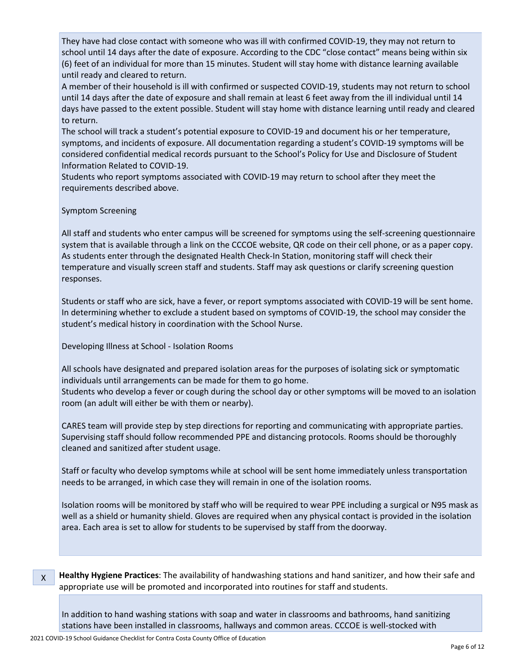They have had close contact with someone who was ill with confirmed COVID-19, they may not return to school until 14 days after the date of exposure. According to the CDC "close contact" means being within six (6) feet of an individual for more than 15 minutes. Student will stay home with distance learning available until ready and cleared to return.

A member of their household is ill with confirmed or suspected COVID-19, students may not return to school until 14 days after the date of exposure and shall remain at least 6 feet away from the ill individual until 14 days have passed to the extent possible. Student will stay home with distance learning until ready and cleared to return.

The school will track a student's potential exposure to COVID-19 and document his or her temperature, symptoms, and incidents of exposure. All documentation regarding a student's COVID-19 symptoms will be considered confidential medical records pursuant to the School's Policy for Use and Disclosure of Student Information Related to COVID-19.

Students who report symptoms associated with COVID-19 may return to school after they meet the requirements described above.

#### Symptom Screening

All staff and students who enter campus will be screened for symptoms using the self-screening questionnaire system that is available through a link on the CCCOE website, QR code on their cell phone, or as a paper copy. As students enter through the designated Health Check-In Station, monitoring staff will check their temperature and visually screen staff and students. Staff may ask questions or clarify screening question responses.

Students or staff who are sick, have a fever, or report symptoms associated with COVID-19 will be sent home. In determining whether to exclude a student based on symptoms of COVID-19, the school may consider the student's medical history in coordination with the School Nurse.

#### Developing Illness at School - Isolation Rooms

All schools have designated and prepared isolation areas for the purposes of isolating sick or symptomatic individuals until arrangements can be made for them to go home. Students who develop a fever or cough during the school day or other symptoms will be moved to an isolation room (an adult will either be with them or nearby).

CARES team will provide step by step directions for reporting and communicating with appropriate parties. Supervising staff should follow recommended PPE and distancing protocols. Rooms should be thoroughly cleaned and sanitized after student usage.

Staff or faculty who develop symptoms while at school will be sent home immediately unless transportation needs to be arranged, in which case they will remain in one of the isolation rooms.

Isolation rooms will be monitored by staff who will be required to wear PPE including a surgical or N95 mask as well as a shield or humanity shield. Gloves are required when any physical contact is provided in the isolation area. Each area is set to allow for students to be supervised by staff from the doorway.

**Healthy Hygiene Practices**: The availability of handwashing stations and hand sanitizer, and how their safe and appropriate use will be promoted and incorporated into routines for staff and students. X

In addition to hand washing stations with soap and water in classrooms and bathrooms, hand sanitizing stations have been installed in classrooms, hallways and common areas. CCCOE is well-stocked with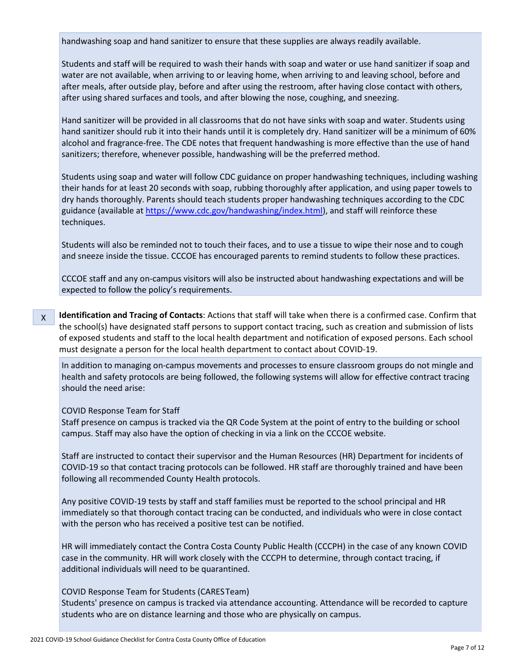handwashing soap and hand sanitizer to ensure that these supplies are always readily available.

Students and staff will be required to wash their hands with soap and water or use hand sanitizer if soap and water are not available, when arriving to or leaving home, when arriving to and leaving school, before and after meals, after outside play, before and after using the restroom, after having close contact with others, after using shared surfaces and tools, and after blowing the nose, coughing, and sneezing.

Hand sanitizer will be provided in all classrooms that do not have sinks with soap and water. Students using hand sanitizer should rub it into their hands until it is completely dry. Hand sanitizer will be a minimum of 60% alcohol and fragrance-free. The CDE notes that frequent handwashing is more effective than the use of hand sanitizers; therefore, whenever possible, handwashing will be the preferred method.

Students using soap and water will follow CDC guidance on proper handwashing techniques, including washing their hands for at least 20 seconds with soap, rubbing thoroughly after application, and using paper towels to dry hands thoroughly. Parents should teach students proper handwashing techniques according to the CDC guidance (available at [https://www.cdc.gov/handwashing/index.html\)](https://www.cdc.gov/handwashing/index.html), and staff will reinforce these techniques.

Students will also be reminded not to touch their faces, and to use a tissue to wipe their nose and to cough and sneeze inside the tissue. CCCOE has encouraged parents to remind students to follow these practices.

CCCOE staff and any on-campus visitors will also be instructed about handwashing expectations and will be expected to follow the policy's requirements.

**Identification and Tracing of Contacts**: Actions that staff will take when there is a confirmed case. Confirm that the school(s) have designated staff persons to support contact tracing, such as creation and submission of lists of exposed students and staff to the local health department and notification of exposed persons. Each school must designate a person for the local health department to contact about COVID-19. X

In addition to managing on-campus movements and processes to ensure classroom groups do not mingle and health and safety protocols are being followed, the following systems will allow for effective contract tracing should the need arise:

#### COVID Response Team for Staff

Staff presence on campus is tracked via the QR Code System at the point of entry to the building or school campus. Staff may also have the option of checking in via a link on the CCCOE website.

Staff are instructed to contact their supervisor and the Human Resources (HR) Department for incidents of COVID-19 so that contact tracing protocols can be followed. HR staff are thoroughly trained and have been following all recommended County Health protocols.

Any positive COVID-19 tests by staff and staff families must be reported to the school principal and HR immediately so that thorough contact tracing can be conducted, and individuals who were in close contact with the person who has received a positive test can be notified.

HR will immediately contact the Contra Costa County Public Health (CCCPH) in the case of any known COVID case in the community. HR will work closely with the CCCPH to determine, through contact tracing, if additional individuals will need to be quarantined.

#### COVID Response Team for Students (CARESTeam)

Students' presence on campus is tracked via attendance accounting. Attendance will be recorded to capture students who are on distance learning and those who are physically on campus.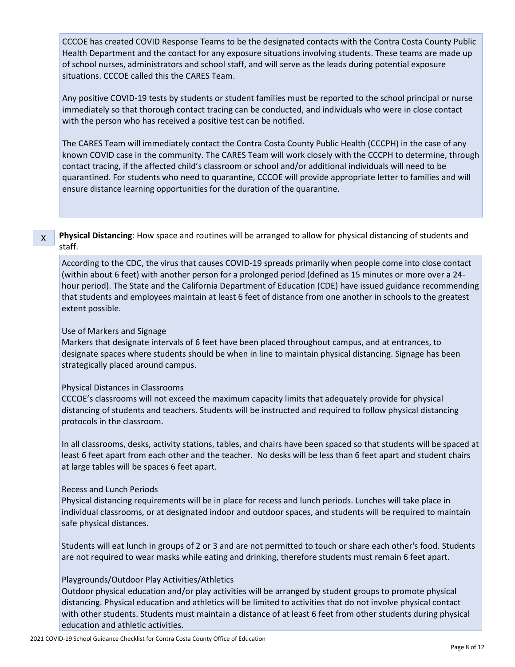CCCOE has created COVID Response Teams to be the designated contacts with the Contra Costa County Public Health Department and the contact for any exposure situations involving students. These teams are made up of school nurses, administrators and school staff, and will serve as the leads during potential exposure situations. CCCOE called this the CARES Team.

Any positive COVID-19 tests by students or student families must be reported to the school principal or nurse immediately so that thorough contact tracing can be conducted, and individuals who were in close contact with the person who has received a positive test can be notified.

The CARES Team will immediately contact the Contra Costa County Public Health (CCCPH) in the case of any known COVID case in the community. The CARES Team will work closely with the CCCPH to determine, through contact tracing, if the affected child's classroom or school and/or additional individuals will need to be quarantined. For students who need to quarantine, CCCOE will provide appropriate letter to families and will ensure distance learning opportunities for the duration of the quarantine.

### **Physical Distancing**: How space and routines will be arranged to allow for physical distancing of students and staff.

According to the CDC, the virus that causes COVID-19 spreads primarily when people come into close contact (within about 6 feet) with another person for a prolonged period (defined as 15 minutes or more over a 24 hour period). The State and the California Department of Education (CDE) have issued guidance recommending that students and employees maintain at least 6 feet of distance from one another in schools to the greatest extent possible.

#### Use of Markers and Signage

X

Markers that designate intervals of 6 feet have been placed throughout campus, and at entrances, to designate spaces where students should be when in line to maintain physical distancing. Signage has been strategically placed around campus.

#### Physical Distances in Classrooms

CCCOE's classrooms will not exceed the maximum capacity limits that adequately provide for physical distancing of students and teachers. Students will be instructed and required to follow physical distancing protocols in the classroom.

In all classrooms, desks, activity stations, tables, and chairs have been spaced so that students will be spaced at least 6 feet apart from each other and the teacher. No desks will be less than 6 feet apart and student chairs at large tables will be spaces 6 feet apart.

#### Recess and Lunch Periods

Physical distancing requirements will be in place for recess and lunch periods. Lunches will take place in individual classrooms, or at designated indoor and outdoor spaces, and students will be required to maintain safe physical distances.

Students will eat lunch in groups of 2 or 3 and are not permitted to touch or share each other's food. Students are not required to wear masks while eating and drinking, therefore students must remain 6 feet apart.

#### Playgrounds/Outdoor Play Activities/Athletics

Outdoor physical education and/or play activities will be arranged by student groups to promote physical distancing. Physical education and athletics will be limited to activities that do not involve physical contact with other students. Students must maintain a distance of at least 6 feet from other students during physical education and athletic activities.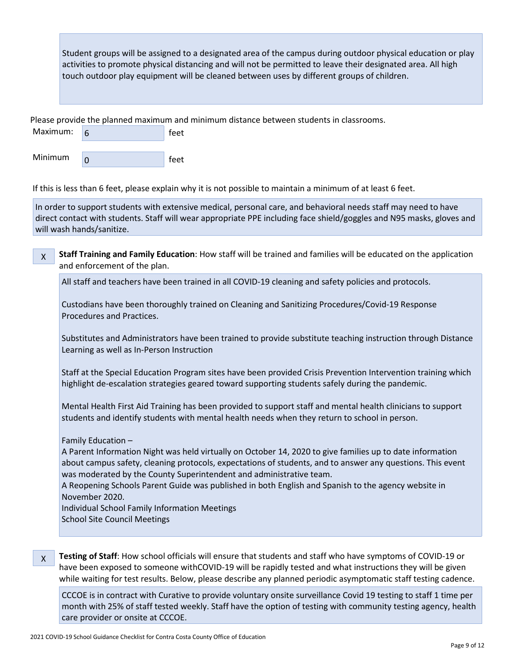Student groups will be assigned to a designated area of the campus during outdoor physical education or play activities to promote physical distancing and will not be permitted to leave their designated area. All high touch outdoor play equipment will be cleaned between uses by different groups of children.

Please provide the planned maximum and minimum distance between students in classrooms.

| Maximum: | feet |
|----------|------|
|          |      |
| Minimum  | feet |

If this is less than 6 feet, please explain why it is not possible to maintain a minimum of at least 6 feet.

In order to support students with extensive medical, personal care, and behavioral needs staff may need to have direct contact with students. Staff will wear appropriate PPE including face shield/goggles and N95 masks, gloves and will wash hands/sanitize.

**Staff Training and Family Education**: How staff will be trained and families will be educated on the application and enforcement of the plan. X

All staff and teachers have been trained in all COVID-19 cleaning and safety policies and protocols.

Custodians have been thoroughly trained on Cleaning and Sanitizing Procedures/Covid-19 Response Procedures and Practices.

Substitutes and Administrators have been trained to provide substitute teaching instruction through Distance Learning as well as In-Person Instruction

Staff at the Special Education Program sites have been provided Crisis Prevention Intervention training which highlight de-escalation strategies geared toward supporting students safely during the pandemic.

Mental Health First Aid Training has been provided to support staff and mental health clinicians to support students and identify students with mental health needs when they return to school in person.

Family Education –

A Parent Information Night was held virtually on October 14, 2020 to give families up to date information about campus safety, cleaning protocols, expectations of students, and to answer any questions. This event was moderated by the County Superintendent and administrative team.

A Reopening Schools Parent Guide was published in both English and Spanish to the agency website in November 2020.

Individual School Family Information Meetings School Site Council Meetings

X

**Testing of Staff**: How school officials will ensure that students and staff who have symptoms of COVID-19 or have been exposed to someone withCOVID-19 will be rapidly tested and what instructions they will be given while waiting for test results. Below, please describe any planned periodic asymptomatic staff testing cadence.

CCCOE is in contract with Curative to provide voluntary onsite surveillance Covid 19 testing to staff 1 time per month with 25% of staff tested weekly. Staff have the option of testing with community testing agency, health care provider or onsite at CCCOE.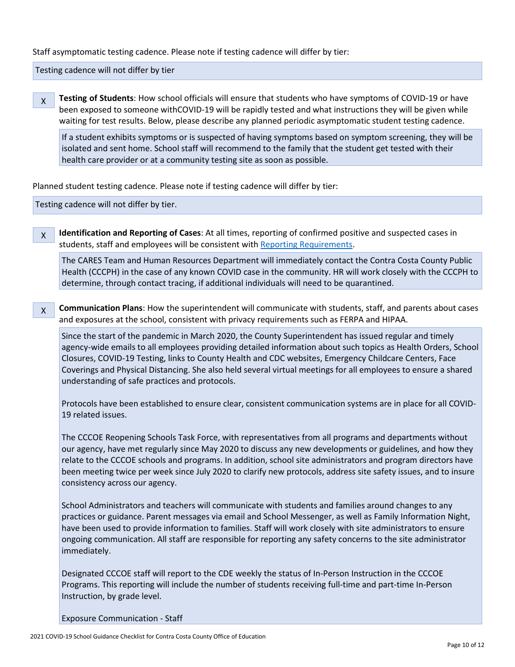Staff asymptomatic testing cadence. Please note if testing cadence will differ by tier:

Testing cadence will not differ by tier

**Testing of Students**: How school officials will ensure that students who have symptoms of COVID-19 or have been exposed to someone withCOVID-19 will be rapidly tested and what instructions they will be given while waiting for test results. Below, please describe any planned periodic asymptomatic student testing cadence. X

If a student exhibits symptoms or is suspected of having symptoms based on symptom screening, they will be isolated and sent home. School staff will recommend to the family that the student get tested with their health care provider or at a community testing site as soon as possible.

Planned student testing cadence. Please note if testing cadence will differ by tier:

Testing cadence will not differ by tier.

X

**Identification and Reporting of Cases**: At all times, reporting of confirmed positive and suspected cases in students, staff and employees will be consistent wit[h Reporting Requirements.](http://www.doc-tracking.com/screenshots/COVID-19/Case%20Reporting%20by%20Schools%20Directive.pdf)

The CARES Team and Human Resources Department will immediately contact the Contra Costa County Public Health (CCCPH) in the case of any known COVID case in the community. HR will work closely with the CCCPH to determine, through contact tracing, if additional individuals will need to be quarantined.

**Communication Plans**: How the superintendent will communicate with students, staff, and parents about cases and exposures at the school, consistent with privacy requirements such as FERPA and HIPAA. X

Since the start of the pandemic in March 2020, the County Superintendent has issued regular and timely agency-wide emails to all employees providing detailed information about such topics as Health Orders, School Closures, COVID-19 Testing, links to County Health and CDC websites, Emergency Childcare Centers, Face Coverings and Physical Distancing. She also held several virtual meetings for all employees to ensure a shared understanding of safe practices and protocols.

Protocols have been established to ensure clear, consistent communication systems are in place for all COVID-19 related issues.

The CCCOE Reopening Schools Task Force, with representatives from all programs and departments without our agency, have met regularly since May 2020 to discuss any new developments or guidelines, and how they relate to the CCCOE schools and programs. In addition, school site administrators and program directors have been meeting twice per week since July 2020 to clarify new protocols, address site safety issues, and to insure consistency across our agency.

School Administrators and teachers will communicate with students and families around changes to any practices or guidance. Parent messages via email and School Messenger, as well as Family Information Night, have been used to provide information to families. Staff will work closely with site administrators to ensure ongoing communication. All staff are responsible for reporting any safety concerns to the site administrator immediately.

Designated CCCOE staff will report to the CDE weekly the status of In-Person Instruction in the CCCOE Programs. This reporting will include the number of students receiving full-time and part-time In-Person Instruction, by grade level.

Exposure Communication - Staff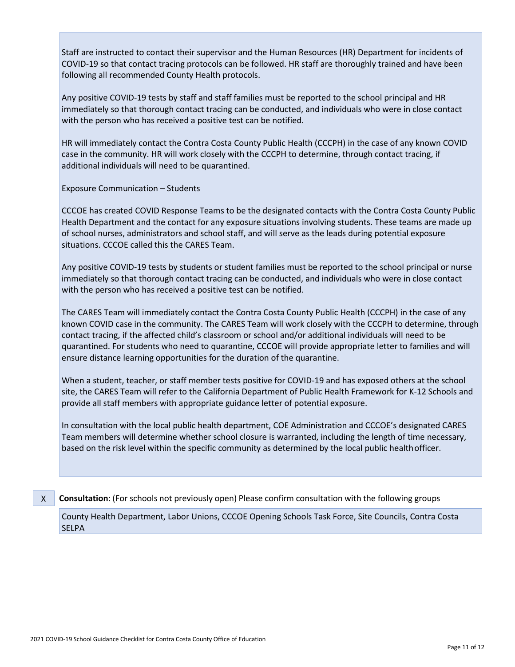Staff are instructed to contact their supervisor and the Human Resources (HR) Department for incidents of COVID-19 so that contact tracing protocols can be followed. HR staff are thoroughly trained and have been following all recommended County Health protocols.

Any positive COVID-19 tests by staff and staff families must be reported to the school principal and HR immediately so that thorough contact tracing can be conducted, and individuals who were in close contact with the person who has received a positive test can be notified.

HR will immediately contact the Contra Costa County Public Health (CCCPH) in the case of any known COVID case in the community. HR will work closely with the CCCPH to determine, through contact tracing, if additional individuals will need to be quarantined.

Exposure Communication – Students

CCCOE has created COVID Response Teams to be the designated contacts with the Contra Costa County Public Health Department and the contact for any exposure situations involving students. These teams are made up of school nurses, administrators and school staff, and will serve as the leads during potential exposure situations. CCCOE called this the CARES Team.

Any positive COVID-19 tests by students or student families must be reported to the school principal or nurse immediately so that thorough contact tracing can be conducted, and individuals who were in close contact with the person who has received a positive test can be notified.

The CARES Team will immediately contact the Contra Costa County Public Health (CCCPH) in the case of any known COVID case in the community. The CARES Team will work closely with the CCCPH to determine, through contact tracing, if the affected child's classroom or school and/or additional individuals will need to be quarantined. For students who need to quarantine, CCCOE will provide appropriate letter to families and will ensure distance learning opportunities for the duration of the quarantine.

When a student, teacher, or staff member tests positive for COVID-19 and has exposed others at the school site, the CARES Team will refer to the California Department of Public Health Framework for K-12 Schools and provide all staff members with appropriate guidance letter of potential exposure.

In consultation with the local public health department, COE Administration and CCCOE's designated CARES Team members will determine whether school closure is warranted, including the length of time necessary, based on the risk level within the specific community as determined by the local public healthofficer.

**Consultation**: (For schools not previously open) Please confirm consultation with the following groups X

County Health Department, Labor Unions, CCCOE Opening Schools Task Force, Site Councils, Contra Costa SELPA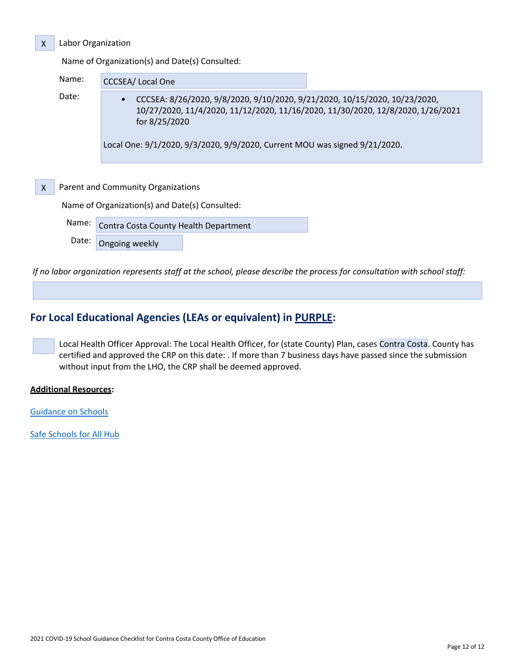#### Labor Organization

Name of Organization(s) and Date(s) Consulted:

| Name: | <b>CCCSEA/Local One</b>                                                                                                                                                        |
|-------|--------------------------------------------------------------------------------------------------------------------------------------------------------------------------------|
| Date: | CCCSEA: 8/26/2020, 9/8/2020, 9/10/2020, 9/21/2020, 10/15/2020, 10/23/2020,<br>10/27/2020, 11/4/2020, 11/12/2020, 11/16/2020, 11/30/2020, 12/8/2020, 1/26/2021<br>for 8/25/2020 |
|       | Local One: 9/1/2020, 9/3/2020, 9/9/2020, Current MOU was signed 9/21/2020.                                                                                                     |
|       |                                                                                                                                                                                |
|       | Parent and Community Organizations                                                                                                                                             |
|       | Name of Organization(s) and Date(s) Consulted:                                                                                                                                 |
| Name: | Contra Costa County Health Department                                                                                                                                          |
| Date: | Ongoing weekly                                                                                                                                                                 |

*If no labor organization represents staff at the school, please describe the process for consultation with school staff:*

# **For Local Educational Agencies (LEAs or equivalent) in PURPLE:**

Local Health Officer Approval: The Local Health Officer, for (state County) Plan, cases Contra Costa. County has certified and approved the CRP on this date: . If more than 7 business days have passed since the submission without input from the LHO, the CRP shall be deemed approved.

#### **Additional Resources:**

X

X

[Guidance on Schools](http://www.doc-tracking.com/screenshots/COVID-19/Consolidated_Schools_Guidance.pdf)

[Safe Schools for All Hub](https://schools.covid19.ca.gov/)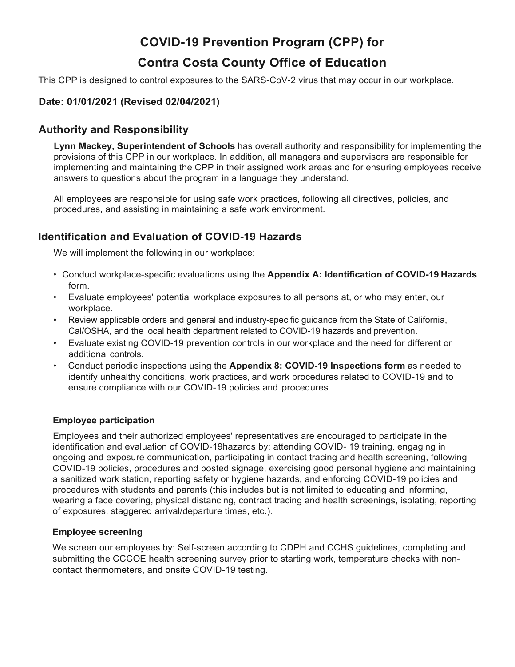# **COVID-19 Prevention Program (CPP) for**

# **Contra Costa County Office of Education**

This CPP is designed to control exposures to the SARS-CoV-2 virus that may occur in our workplace.

## **Date: 01/01/2021 (Revised 02/04/2021)**

# **Authority and Responsibility**

**Lynn Mackey, Superintendent of Schools** has overall authority and responsibility for implementing the provisions of this CPP in our workplace. In addition, all managers and supervisors are responsible for implementing and maintaining the CPP in their assigned work areas and for ensuring employees receive answers to questions about the program in a language they understand.

All employees are responsible for using safe work practices, following all directives, policies, and procedures, and assisting in maintaining a safe work environment.

# **Identification and Evaluation of COVID-19 Hazards**

We will implement the following in our workplace:

- Conduct workplace-specific evaluations using the **Appendix A: Identification of COVID-19 Hazards** form.
- Evaluate employees' potential workplace exposures to all persons at, or who may enter, our workplace.
- Review applicable orders and general and industry-specific guidance from the State of California, Cal/OSHA, and the local health department related to COVID-19 hazards and prevention.
- Evaluate existing COVID-19 prevention controls in our workplace and the need for different or additional controls.
- Conduct periodic inspections using the **Appendix 8: COVID-19 Inspections form** as needed to identify unhealthy conditions, work practices, and work procedures related to COVID-19 and to ensure compliance with our COVID-19 policies and procedures.

### **Employee participation**

Employees and their authorized employees' representatives are encouraged to participate in the identification and evaluation of COVID-19hazards by: attending COVID- 19 training, engaging in ongoing and exposure communication, participating in contact tracing and health screening, following COVID-19 policies, procedures and posted signage, exercising good personal hygiene and maintaining a sanitized work station, reporting safety or hygiene hazards, and enforcing COVID-19 policies and procedures with students and parents (this includes but is not limited to educating and informing, wearing a face covering, physical distancing, contract tracing and health screenings, isolating, reporting of exposures, staggered arrival/departure times, etc.).

### **Employee screening**

We screen our employees by: Self-screen according to CDPH and CCHS guidelines, completing and submitting the CCCOE health screening survey prior to starting work, temperature checks with noncontact thermometers, and onsite COVID-19 testing.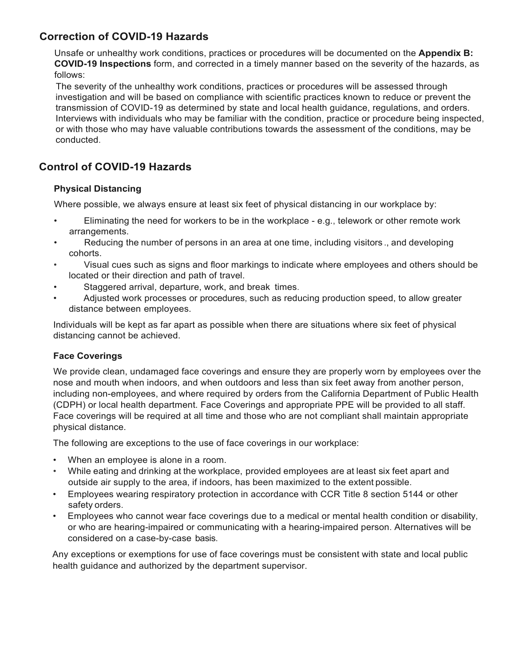# **Correction of COVID-19 Hazards**

Unsafe or unhealthy work conditions, practices or procedures will be documented on the **Appendix B: COVID-19 Inspections** form, and corrected in a timely manner based on the severity of the hazards, as follows:

The severity of the unhealthy work conditions, practices or procedures will be assessed through investigation and will be based on compliance with scientific practices known to reduce or prevent the transmission of COVID-19 as determined by state and local health guidance, regulations, and orders. Interviews with individuals who may be familiar with the condition, practice or procedure being inspected, or with those who may have valuable contributions towards the assessment of the conditions, may be conducted.

# **Control of COVID-19 Hazards**

## **Physical Distancing**

Where possible, we always ensure at least six feet of physical distancing in our workplace by:

- Eliminating the need for workers to be in the workplace e.g., telework or other remote work arrangements.
- Reducing the number of persons in an area at one time, including visitors ., and developing cohorts.
- Visual cues such as signs and floor markings to indicate where employees and others should be located or their direction and path of travel.
- Staggered arrival, departure, work, and break times.
- Adjusted work processes or procedures, such as reducing production speed, to allow greater distance between employees.

Individuals will be kept as far apart as possible when there are situations where six feet of physical distancing cannot be achieved.

### **Face Coverings**

We provide clean, undamaged face coverings and ensure they are properly worn by employees over the nose and mouth when indoors, and when outdoors and less than six feet away from another person, including non-employees, and where required by orders from the California Department of Public Health (CDPH) or local health department. Face Coverings and appropriate PPE will be provided to all staff. Face coverings will be required at all time and those who are not compliant shall maintain appropriate physical distance.

The following are exceptions to the use of face coverings in our workplace:

- When an employee is alone in a room.
- While eating and drinking at the workplace, provided employees are at least six feet apart and outside air supply to the area, if indoors, has been maximized to the extent possible.
- Employees wearing respiratory protection in accordance with CCR Title 8 section 5144 or other safety orders.
- Employees who cannot wear face coverings due to a medical or mental health condition or disability, or who are hearing-impaired or communicating with a hearing-impaired person. Alternatives will be considered on a case-by-case basis.

Any exceptions or exemptions for use of face coverings must be consistent with state and local public health guidance and authorized by the department supervisor.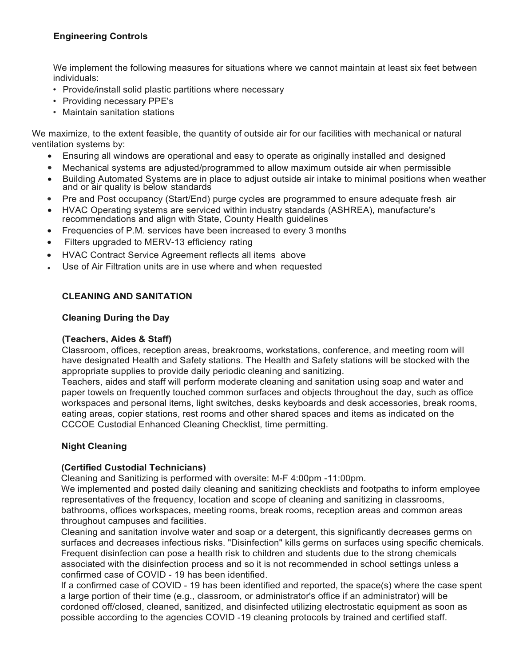## **Engineering Controls**

We implement the following measures for situations where we cannot maintain at least six feet between individuals:

- Provide/install solid plastic partitions where necessary
- Providing necessary PPE's
- Maintain sanitation stations

We maximize, to the extent feasible, the quantity of outside air for our facilities with mechanical or natural ventilation systems by:

- Ensuring all windows are operational and easy to operate as originally installed and designed
- Mechanical systems are adjusted/programmed to allow maximum outside air when permissible
- Building Automated Systems are in place to adjust outside air intake to minimal positions when weather and or air quality is below standards
- Pre and Post occupancy (Start/End) purge cycles are programmed to ensure adequate fresh air<br>• HVAC Operating systems are serviced within industry standards (ASHREA), manufacture's
- HVAC Operating systems are serviced within industry standards (ASHREA), manufacture's recommendations and align with State, County Health guidelines
- Frequencies of P.M. services have been increased to every 3 months
- Filters upgraded to MERV-13 efficiency rating
- HVAC Contract Service Agreement reflects all items above
- Use of Air Filtration units are in use where and when requested

### **CLEANING AND SANITATION**

#### **Cleaning During the Day**

#### **(Teachers, Aides & Staff)**

Classroom, offices, reception areas, breakrooms, workstations, conference, and meeting room will have designated Health and Safety stations. The Health and Safety stations will be stocked with the appropriate supplies to provide daily periodic cleaning and sanitizing.

Teachers, aides and staff will perform moderate cleaning and sanitation using soap and water and paper towels on frequently touched common surfaces and objects throughout the day, such as office workspaces and personal items, light switches, desks keyboards and desk accessories, break rooms, eating areas, copier stations, rest rooms and other shared spaces and items as indicated on the CCCOE Custodial Enhanced Cleaning Checklist, time permitting.

### **Night Cleaning**

#### **(Certified Custodial Technicians)**

Cleaning and Sanitizing is performed with oversite: M-F 4:00pm -11:00pm.

We implemented and posted daily cleaning and sanitizing checklists and footpaths to inform employee representatives of the frequency, location and scope of cleaning and sanitizing in classrooms, bathrooms, offices workspaces, meeting rooms, break rooms, reception areas and common areas throughout campuses and facilities.

Cleaning and sanitation involve water and soap or a detergent, this significantly decreases germs on surfaces and decreases infectious risks. "Disinfection" kills germs on surfaces using specific chemicals. Frequent disinfection can pose a health risk to children and students due to the strong chemicals associated with the disinfection process and so it is not recommended in school settings unless a confirmed case of COVID - 19 has been identified.

If a confirmed case of COVID - 19 has been identified and reported, the space(s) where the case spent a large portion of their time (e.g., classroom, or administrator's office if an administrator) will be cordoned off/closed, cleaned, sanitized, and disinfected utilizing electrostatic equipment as soon as possible according to the agencies COVID -19 cleaning protocols by trained and certified staff.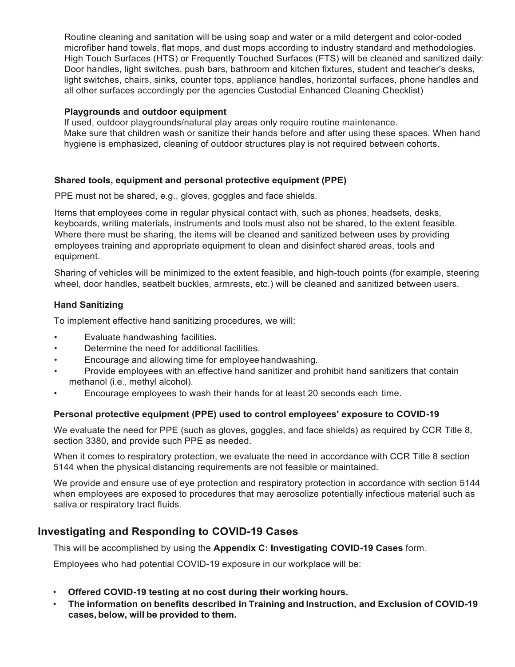Routine cleaning and sanitation will be using soap and water or a mild detergent and color-coded microfiber hand towels, flat mops, and dust mops according to industry standard and methodologies. High Touch Surfaces (HTS) or Frequently Touched Surfaces (FTS) will be cleaned and sanitized daily: Door handles, light switches, push bars, bathroom and kitchen fixtures, student and teacher's desks, light switches, chairs, sinks, counter tops, appliance handles, horizontal surfaces, phone handles and all other surfaces accordingly per the agencies Custodial Enhanced Cleaning Checklist)

#### **Playgrounds and outdoor equipment**

If used, outdoor playgrounds/natural play areas only require routine maintenance. Make sure that children wash or sanitize their hands before and after using these spaces. When hand hygiene is emphasized, cleaning of outdoor structures play is not required between cohorts.

### **Shared tools, equipment and personal protective equipment (PPE)**

PPE must not be shared, e.g., gloves, goggles and face shields.

Items that employees come in regular physical contact with, such as phones, headsets, desks, keyboards, writing materials, instruments and tools must also not be shared, to the extent feasible. Where there must be sharing, the items will be cleaned and sanitized between uses by providing employees training and appropriate equipment to clean and disinfect shared areas, tools and equipment.

Sharing of vehicles will be minimized to the extent feasible, and high-touch points (for example, steering wheel, door handles, seatbelt buckles, armrests, etc.) will be cleaned and sanitized between users.

### **Hand Sanitizing**

To implement effective hand sanitizing procedures, we will:

- Evaluate handwashing facilities.
- Determine the need for additional facilities.
- Encourage and allowing time for employee handwashing.
- Provide employees with an effective hand sanitizer and prohibit hand sanitizers that contain methanol (i.e., methyl alcohol).
- Encourage employees to wash their hands for at least 20 seconds each time.

### **Personal protective equipment (PPE) used to control employees' exposure to COVID-19**

We evaluate the need for PPE (such as gloves, goggles, and face shields) as required by CCR Title 8, section 3380, and provide such PPE as needed.

When it comes to respiratory protection, we evaluate the need in accordance with CCR Title 8 section 5144 when the physical distancing requirements are not feasible or maintained.

We provide and ensure use of eye protection and respiratory protection in accordance with section 5144 when employees are exposed to procedures that may aerosolize potentially infectious material such as saliva or respiratory tract fluids.

# **Investigating and Responding to COVID-19 Cases**

This will be accomplished by using the **Appendix C: Investigating COVID-19 Cases** form.

Employees who had potential COVID-19 exposure in our workplace will be:

- **Offered COVID-19 testing at no cost during their working hours.**
- **The information on benefits described in Training and Instruction, and Exclusion of COVID-19 cases, below, will be provided to them.**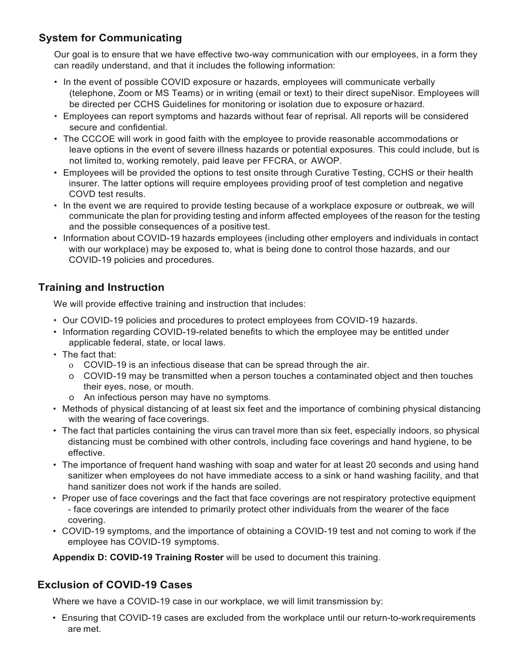# **System for Communicating**

Our goal is to ensure that we have effective two-way communication with our employees, in a form they can readily understand, and that it includes the following information:

- In the event of possible COVID exposure or hazards, employees will communicate verbally (telephone, Zoom or MS Teams) or in writing (email or text) to their direct supeNisor. Employees will be directed per CCHS Guidelines for monitoring or isolation due to exposure orhazard.
- Employees can report symptoms and hazards without fear of reprisal. All reports will be considered secure and confidential
- The CCCOE will work in good faith with the employee to provide reasonable accommodations or leave options in the event of severe illness hazards or potential exposures. This could include, but is not limited to, working remotely, paid leave per FFCRA, or AWOP.
- Employees will be provided the options to test onsite through Curative Testing, CCHS or their health insurer. The latter options will require employees providing proof of test completion and negative COVD test results.
- In the event we are required to provide testing because of a workplace exposure or outbreak, we will communicate the plan for providing testing and inform affected employees of the reason for the testing and the possible consequences of a positive test.
- Information about COVID-19 hazards employees (including other employers and individuals in contact with our workplace) may be exposed to, what is being done to control those hazards, and our COVID-19 policies and procedures.

# **Training and Instruction**

We will provide effective training and instruction that includes:

- Our COVID-19 policies and procedures to protect employees from COVID-19 hazards.
- Information regarding COVID-19-related benefits to which the employee may be entitled under applicable federal, state, or local laws.
- The fact that:
	- o COVID-19 is an infectious disease that can be spread through the air.
	- o COVID-19 may be transmitted when a person touches a contaminated object and then touches their eyes, nose, or mouth.
	- o An infectious person may have no symptoms.
- Methods of physical distancing of at least six feet and the importance of combining physical distancing with the wearing of face coverings.
- The fact that particles containing the virus can travel more than six feet, especially indoors, so physical distancing must be combined with other controls, including face coverings and hand hygiene, to be effective.
- The importance of frequent hand washing with soap and water for at least 20 seconds and using hand sanitizer when employees do not have immediate access to a sink or hand washing facility, and that hand sanitizer does not work if the hands are soiled.
- Proper use of face coverings and the fact that face coverings are not respiratory protective equipment - face coverings are intended to primarily protect other individuals from the wearer of the face covering.
- COVID-19 symptoms, and the importance of obtaining a COVID-19 test and not coming to work if the employee has COVID-19 symptoms.

**Appendix D: COVID-19 Training Roster** will be used to document this training.

# **Exclusion of COVID-19 Cases**

Where we have a COVID-19 case in our workplace, we will limit transmission by:

• Ensuring that COVID-19 cases are excluded from the workplace until our return-to-workrequirements are met.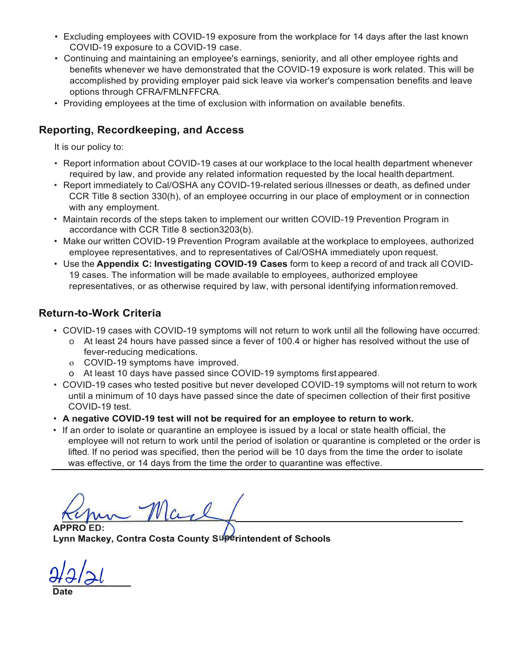- Excluding employees with COVID-19 exposure from the workplace for 14 days after the last known COVID-19 exposure to a COVID-19 case.
- Continuing and maintaining an employee's earnings, seniority, and all other employee rights and benefits whenever we have demonstrated that the COVID-19 exposure is work related. This will be accomplished by providing employer paid sick leave via worker's compensation benefits and leave options through CFRA/FMLNFFCRA.
- Providing employees at the time of exclusion with information on available benefits.

# **Reporting, Recordkeeping, and Access**

It is our policy to:

- Report information about COVID-19 cases at our workplace to the local health department whenever required by law, and provide any related information requested by the local health department.
- Report immediately to Cal/OSHA any COVID-19-related serious illnesses or death, as defined under CCR Title 8 section 330(h), of an employee occurring in our place of employment or in connection with any employment.
- Maintain records of the steps taken to implement our written COVID-19 Prevention Program in accordance with CCR Title 8 section3203(b).
- Make our written COVID-19 Prevention Program available at the workplace to employees, authorized employee representatives, and to representatives of Cal/OSHA immediately upon request.
- Use the **Appendix C: Investigating COVID-19 Cases** form to keep a record of and track all COVID-19 cases. The information will be made available to employees, authorized employee representatives, or as otherwise required by law, with personal identifying information removed.

# **Return-to-Work Criteria**

- COVID-19 cases with COVID-19 symptoms will not return to work until all the following have occurred:
	- o At least 24 hours have passed since a fever of 100.4 or higher has resolved without the use of fever-reducing medications.
	- o COVID-19 symptoms have improved.
	- o At least 10 days have passed since COVID-19 symptoms first appeared.
- COVID-19 cases who tested positive but never developed COVID-19 symptoms will not return to work until a minimum of 10 days have passed since the date of specimen collection of their first positive COVID-19 test.
- **A negative COVID-19 test will not be required for an employee to return to work.**
- If an order to isolate or quarantine an employee is issued by a local or state health official, the employee will not return to work until the period of isolation or quarantine is completed or the order is lifted. If no period was specified, then the period will be 10 days from the time the order to isolate was effective, or 14 days from the time the order to quarantine was effective.

**APPRO ED: Lynn Mackey, Contra Costa County S rintendent of Schools**

**Date**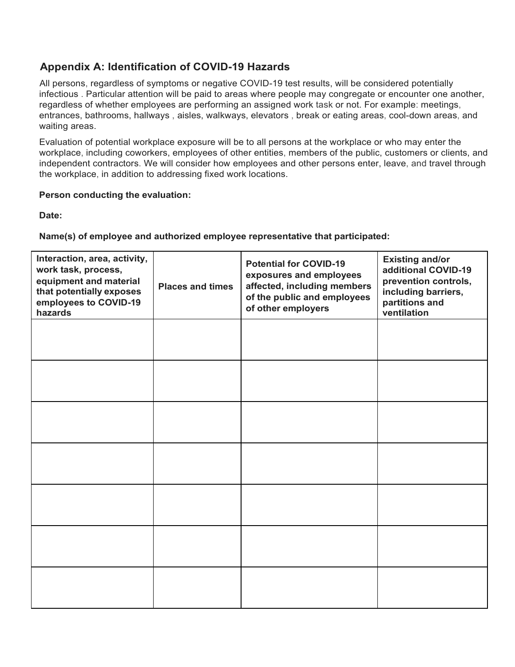# **Appendix A: Identification of COVID-19 Hazards**

All persons, regardless of symptoms or negative COVID-19 test results, will be considered potentially infectious . Particular attention will be paid to areas where people may congregate or encounter one another, regardless of whether employees are performing an assigned work task or not. For example: meetings, entrances, bathrooms, hallways , aisles, walkways, elevators , break or eating areas, cool-down areas, and waiting areas.

Evaluation of potential workplace exposure will be to all persons at the workplace or who may enter the workplace, including coworkers, employees of other entities, members of the public, customers or clients, and independent contractors. We will consider how employees and other persons enter, leave, and travel through the workplace, in addition to addressing fixed work locations.

## **Person conducting the evaluation:**

**Date:**

## **Name(s) of employee and authorized employee representative that participated:**

| Interaction, area, activity,<br>work task, process,<br>equipment and material<br>that potentially exposes<br>employees to COVID-19<br>hazards | <b>Places and times</b> | <b>Potential for COVID-19</b><br>exposures and employees<br>affected, including members<br>of the public and employees<br>of other employers | <b>Existing and/or</b><br>additional COVID-19<br>prevention controls,<br>including barriers,<br>partitions and<br>ventilation |
|-----------------------------------------------------------------------------------------------------------------------------------------------|-------------------------|----------------------------------------------------------------------------------------------------------------------------------------------|-------------------------------------------------------------------------------------------------------------------------------|
|                                                                                                                                               |                         |                                                                                                                                              |                                                                                                                               |
|                                                                                                                                               |                         |                                                                                                                                              |                                                                                                                               |
|                                                                                                                                               |                         |                                                                                                                                              |                                                                                                                               |
|                                                                                                                                               |                         |                                                                                                                                              |                                                                                                                               |
|                                                                                                                                               |                         |                                                                                                                                              |                                                                                                                               |
|                                                                                                                                               |                         |                                                                                                                                              |                                                                                                                               |
|                                                                                                                                               |                         |                                                                                                                                              |                                                                                                                               |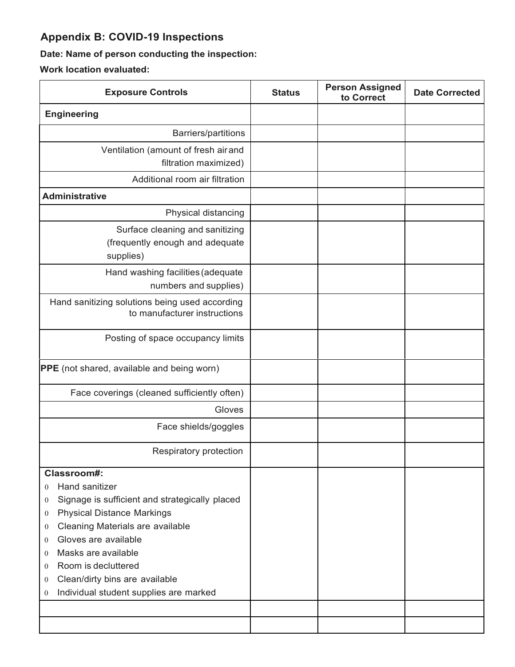# **Appendix B: COVID-19 Inspections**

# **Date: Name of person conducting the inspection:**

**Work location evaluated:**

| <b>Exposure Controls</b>                                                                                                                                                                                                                                                                                                                                                                                                                           | <b>Status</b> | <b>Person Assigned</b><br>to Correct | <b>Date Corrected</b> |
|----------------------------------------------------------------------------------------------------------------------------------------------------------------------------------------------------------------------------------------------------------------------------------------------------------------------------------------------------------------------------------------------------------------------------------------------------|---------------|--------------------------------------|-----------------------|
| <b>Engineering</b>                                                                                                                                                                                                                                                                                                                                                                                                                                 |               |                                      |                       |
| <b>Barriers/partitions</b>                                                                                                                                                                                                                                                                                                                                                                                                                         |               |                                      |                       |
| Ventilation (amount of fresh air and                                                                                                                                                                                                                                                                                                                                                                                                               |               |                                      |                       |
| filtration maximized)                                                                                                                                                                                                                                                                                                                                                                                                                              |               |                                      |                       |
| Additional room air filtration                                                                                                                                                                                                                                                                                                                                                                                                                     |               |                                      |                       |
| <b>Administrative</b>                                                                                                                                                                                                                                                                                                                                                                                                                              |               |                                      |                       |
| Physical distancing                                                                                                                                                                                                                                                                                                                                                                                                                                |               |                                      |                       |
| Surface cleaning and sanitizing<br>(frequently enough and adequate<br>supplies)                                                                                                                                                                                                                                                                                                                                                                    |               |                                      |                       |
| Hand washing facilities (adequate<br>numbers and supplies)                                                                                                                                                                                                                                                                                                                                                                                         |               |                                      |                       |
| Hand sanitizing solutions being used according<br>to manufacturer instructions                                                                                                                                                                                                                                                                                                                                                                     |               |                                      |                       |
| Posting of space occupancy limits                                                                                                                                                                                                                                                                                                                                                                                                                  |               |                                      |                       |
| <b>PPE</b> (not shared, available and being worn)                                                                                                                                                                                                                                                                                                                                                                                                  |               |                                      |                       |
| Face coverings (cleaned sufficiently often)                                                                                                                                                                                                                                                                                                                                                                                                        |               |                                      |                       |
| Gloves                                                                                                                                                                                                                                                                                                                                                                                                                                             |               |                                      |                       |
| Face shields/goggles                                                                                                                                                                                                                                                                                                                                                                                                                               |               |                                      |                       |
| Respiratory protection                                                                                                                                                                                                                                                                                                                                                                                                                             |               |                                      |                       |
| Classroom#:<br>Hand sanitizer<br>$\Omega$<br>Signage is sufficient and strategically placed<br>$\overline{0}$<br><b>Physical Distance Markings</b><br>$\overline{0}$<br>Cleaning Materials are available<br>$\theta$<br>Gloves are available<br>$\theta$<br>Masks are available<br>$\mathbf{0}$<br>Room is decluttered<br>$\Omega$<br>Clean/dirty bins are available<br>$\mathbf{0}$<br>Individual student supplies are marked<br>$\boldsymbol{0}$ |               |                                      |                       |
|                                                                                                                                                                                                                                                                                                                                                                                                                                                    |               |                                      |                       |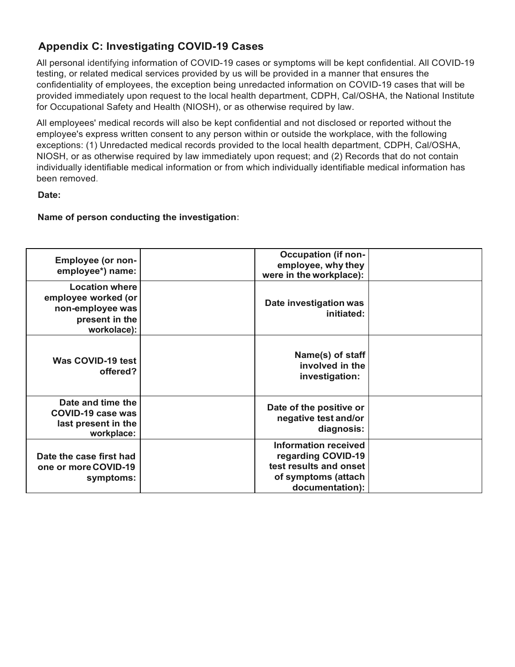# **Appendix C: Investigating COVID-19 Cases**

All personal identifying information of COVID-19 cases or symptoms will be kept confidential. All COVID-19 testing, or related medical services provided by us will be provided in a manner that ensures the confidentiality of employees, the exception being unredacted information on COVID-19 cases that will be provided immediately upon request to the local health department, CDPH, Cal/OSHA, the National Institute for Occupational Safety and Health (NIOSH), or as otherwise required by law.

All employees' medical records will also be kept confidential and not disclosed or reported without the employee's express written consent to any person within or outside the workplace, with the following exceptions: (1) Unredacted medical records provided to the local health department, CDPH, Cal/OSHA, NIOSH, or as otherwise required by law immediately upon request; and (2) Records that do not contain individually identifiable medical information or from which individually identifiable medical information has been removed.

### **Date:**

## **Name of person conducting the investigation:**

| <b>Employee (or non-</b><br>employee*) name:                                                      | <b>Occupation (if non-</b><br>employee, why they<br>were in the workplace):                                           |  |
|---------------------------------------------------------------------------------------------------|-----------------------------------------------------------------------------------------------------------------------|--|
| <b>Location where</b><br>employee worked (or<br>non-employee was<br>present in the<br>workolace): | Date investigation was<br>initiated:                                                                                  |  |
| Was COVID-19 test<br>offered?                                                                     | Name(s) of staff<br>involved in the<br>investigation:                                                                 |  |
| Date and time the<br>COVID-19 case was<br>last present in the<br>workplace:                       | Date of the positive or<br>negative test and/or<br>diagnosis:                                                         |  |
| Date the case first had<br>one or more COVID-19<br>symptoms:                                      | <b>Information received</b><br>regarding COVID-19<br>test results and onset<br>of symptoms (attach<br>documentation): |  |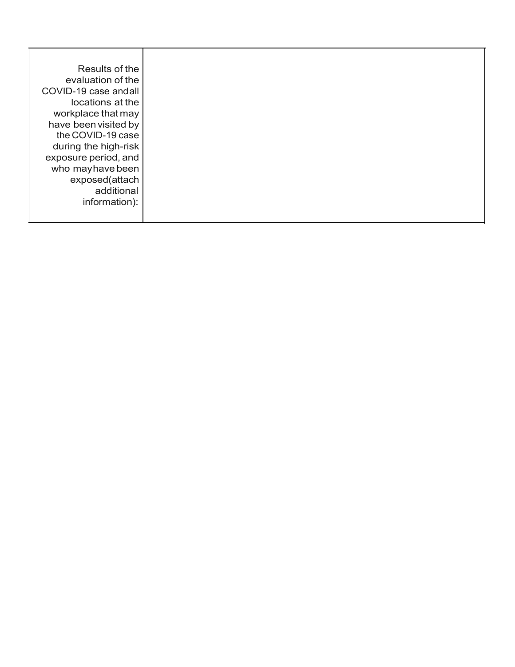| Results of the        |
|-----------------------|
| evaluation of the     |
| COVID-19 case and all |
| locations at the      |
| workplace that may    |
| have been visited by  |
| the COVID-19 case     |
| during the high-risk  |
| exposure period, and  |
| who may have been     |
| exposed(attach        |
| additional            |
| information):         |
|                       |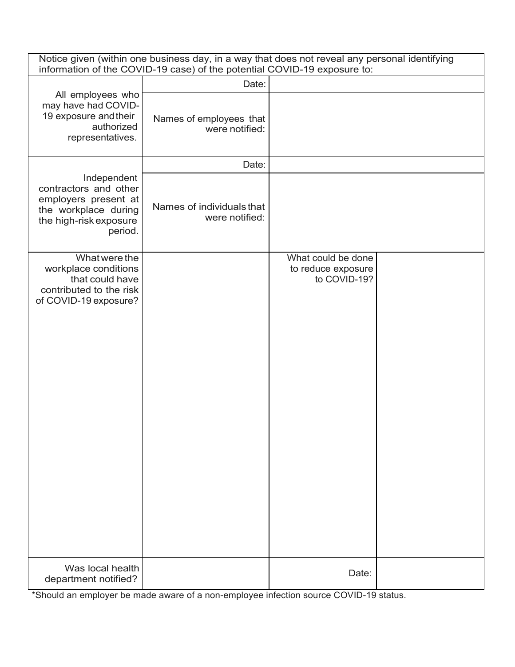| Notice given (within one business day, in a way that does not reveal any personal identifying<br>information of the COVID-19 case) of the potential COVID-19 exposure to: |                                             |                                                          |  |
|---------------------------------------------------------------------------------------------------------------------------------------------------------------------------|---------------------------------------------|----------------------------------------------------------|--|
|                                                                                                                                                                           | Date:                                       |                                                          |  |
| All employees who<br>may have had COVID-<br>19 exposure and their<br>authorized<br>representatives.                                                                       | Names of employees that<br>were notified:   |                                                          |  |
|                                                                                                                                                                           | Date:                                       |                                                          |  |
| Independent<br>contractors and other<br>employers present at<br>the workplace during<br>the high-risk exposure<br>period.                                                 | Names of individuals that<br>were notified: |                                                          |  |
| What were the<br>workplace conditions<br>that could have<br>contributed to the risk<br>of COVID-19 exposure?                                                              |                                             | What could be done<br>to reduce exposure<br>to COVID-19? |  |
| Was local health<br>department notified?                                                                                                                                  |                                             | Date:                                                    |  |

\*Should an employer be made aware of a non-employee infection source COVID-19 status.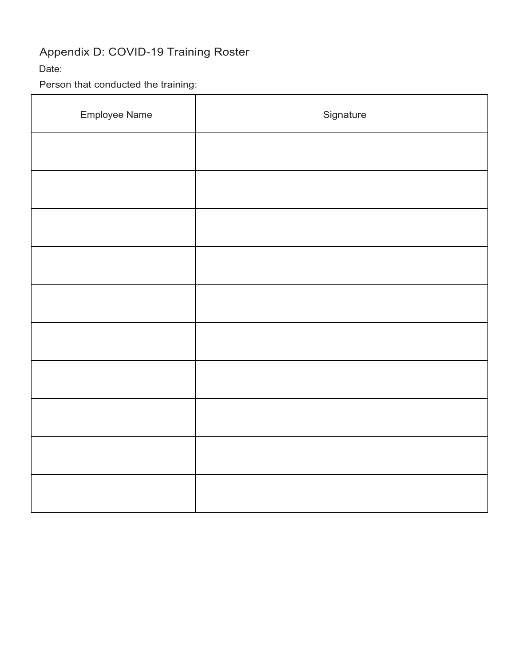# Appendix D: COVID-19 Training Roster

# Date:

Person that conducted the training:

| Employee Name | Signature |
|---------------|-----------|
|               |           |
|               |           |
|               |           |
|               |           |
|               |           |
|               |           |
|               |           |
|               |           |
|               |           |
|               |           |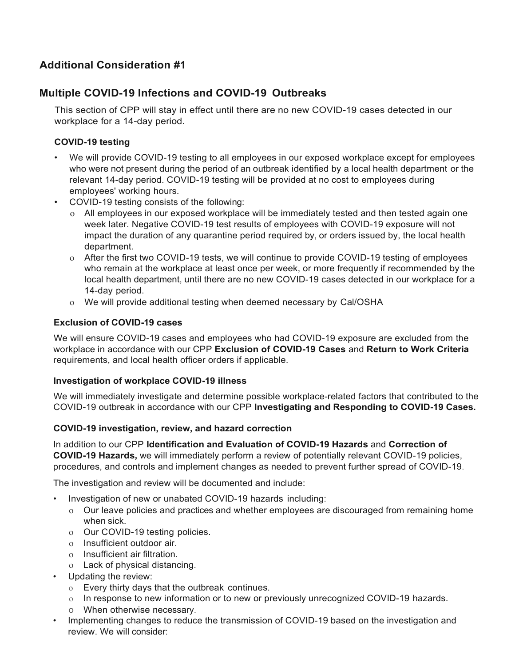# **Additional Consideration #1**

# **Multiple COVID-19 Infections and COVID-19 Outbreaks**

This section of CPP will stay in effect until there are no new COVID-19 cases detected in our workplace for a 14-day period.

## **COVID-19 testing**

- We will provide COVID-19 testing to all employees in our exposed workplace except for employees who were not present during the period of an outbreak identified by a local health department or the relevant 14-day period. COVID-19 testing will be provided at no cost to employees during employees' working hours.
- COVID-19 testing consists of the following:
	- o All employees in our exposed workplace will be immediately tested and then tested again one week later. Negative COVID-19 test results of employees with COVID-19 exposure will not impact the duration of any quarantine period required by, or orders issued by, the local health department.
	- o After the first two COVID-19 tests, we will continue to provide COVID-19 testing of employees who remain at the workplace at least once per week, or more frequently if recommended by the local health department, until there are no new COVID-19 cases detected in our workplace for a 14-day period.
	- o We will provide additional testing when deemed necessary by Cal/OSHA

### **Exclusion of COVID-19 cases**

We will ensure COVID-19 cases and employees who had COVID-19 exposure are excluded from the workplace in accordance with our CPP **Exclusion of COVID-19 Cases** and **Return to Work Criteria**  requirements, and local health officer orders if applicable.

### **Investigation of workplace COVID-19 illness**

We will immediately investigate and determine possible workplace-related factors that contributed to the COVID-19 outbreak in accordance with our CPP **Investigating and Responding to COVID-19 Cases.**

### **COVID-19 investigation, review, and hazard correction**

In addition to our CPP **Identification and Evaluation of COVID-19 Hazards** and **Correction of COVID-19 Hazards,** we will immediately perform a review of potentially relevant COVID-19 policies, procedures, and controls and implement changes as needed to prevent further spread of COVID-19.

The investigation and review will be documented and include:

- Investigation of new or unabated COVID-19 hazards including:
	- o Our leave policies and practices and whether employees are discouraged from remaining home when sick.
	- o Our COVID-19 testing policies.
	- o Insufficient outdoor air.
	- o Insufficient air filtration.
	- o Lack of physical distancing.
- Updating the review:
	- o Every thirty days that the outbreak continues.
	- o In response to new information or to new or previously unrecognized COVID-19 hazards.
	- o When otherwise necessary.
- Implementing changes to reduce the transmission of COVID-19 based on the investigation and review. We will consider: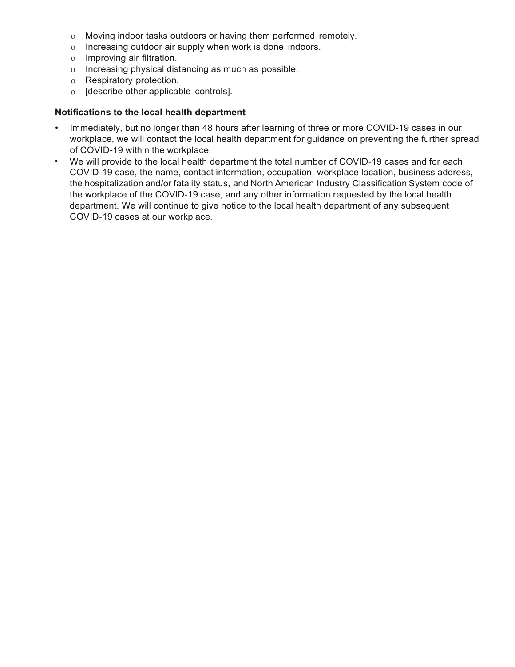- o Moving indoor tasks outdoors or having them performed remotely.
- o Increasing outdoor air supply when work is done indoors.
- o Improving air filtration.
- o Increasing physical distancing as much as possible.
- o Respiratory protection.
- o [describe other applicable controls].

#### **Notifications to the local health department**

- Immediately, but no longer than 48 hours after learning of three or more COVID-19 cases in our workplace, we will contact the local health department for guidance on preventing the further spread of COVID-19 within the workplace.
- We will provide to the local health department the total number of COVID-19 cases and for each COVID-19 case, the name, contact information, occupation, workplace location, business address, the hospitalization and/or fatality status, and North American Industry Classification System code of the workplace of the COVID-19 case, and any other information requested by the local health department. We will continue to give notice to the local health department of any subsequent COVID-19 cases at our workplace.